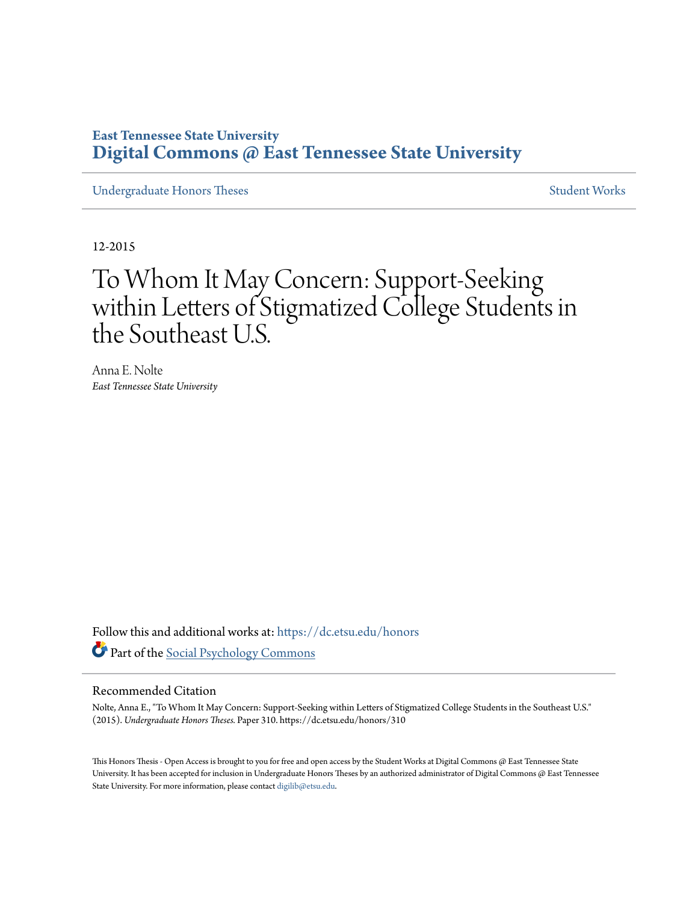# **East Tennessee State University [Digital Commons @ East Tennessee State University](https://dc.etsu.edu?utm_source=dc.etsu.edu%2Fhonors%2F310&utm_medium=PDF&utm_campaign=PDFCoverPages)**

[Undergraduate Honors Theses](https://dc.etsu.edu/honors?utm_source=dc.etsu.edu%2Fhonors%2F310&utm_medium=PDF&utm_campaign=PDFCoverPages) [Student Works](https://dc.etsu.edu/student-works?utm_source=dc.etsu.edu%2Fhonors%2F310&utm_medium=PDF&utm_campaign=PDFCoverPages)

12-2015

# To Whom It May Concern: Support-Seeking within Letters of Stigmatized College Students in the Southeast U.S.

Anna E. Nolte *East Tennessee State University*

Follow this and additional works at: [https://dc.etsu.edu/honors](https://dc.etsu.edu/honors?utm_source=dc.etsu.edu%2Fhonors%2F310&utm_medium=PDF&utm_campaign=PDFCoverPages) Part of the [Social Psychology Commons](http://network.bepress.com/hgg/discipline/414?utm_source=dc.etsu.edu%2Fhonors%2F310&utm_medium=PDF&utm_campaign=PDFCoverPages)

#### Recommended Citation

Nolte, Anna E., "To Whom It May Concern: Support-Seeking within Letters of Stigmatized College Students in the Southeast U.S." (2015). *Undergraduate Honors Theses.* Paper 310. https://dc.etsu.edu/honors/310

This Honors Thesis - Open Access is brought to you for free and open access by the Student Works at Digital Commons @ East Tennessee State University. It has been accepted for inclusion in Undergraduate Honors Theses by an authorized administrator of Digital Commons @ East Tennessee State University. For more information, please contact [digilib@etsu.edu.](mailto:digilib@etsu.edu)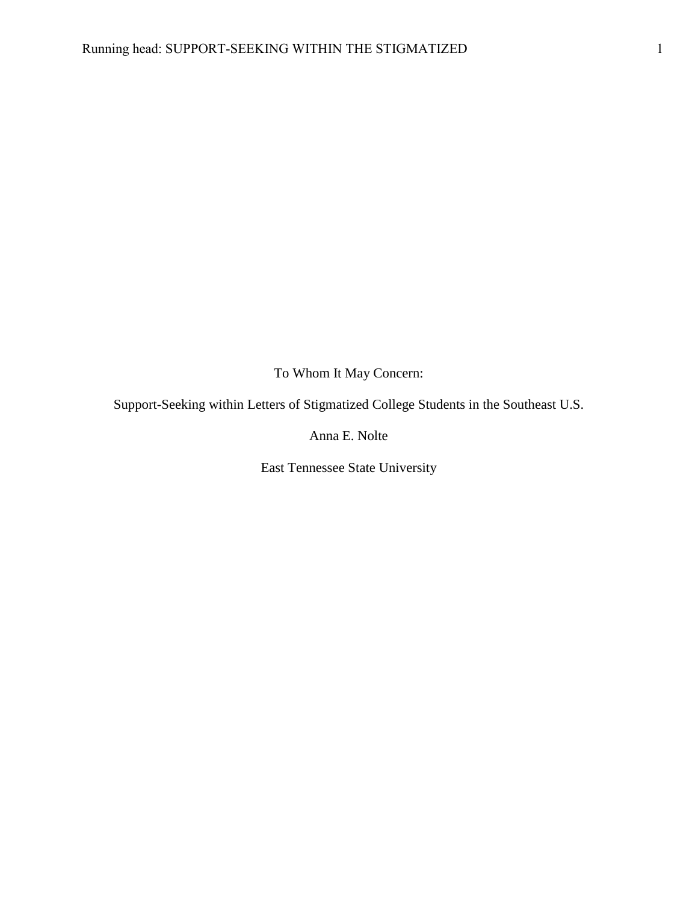To Whom It May Concern:

Support-Seeking within Letters of Stigmatized College Students in the Southeast U.S.

Anna E. Nolte

East Tennessee State University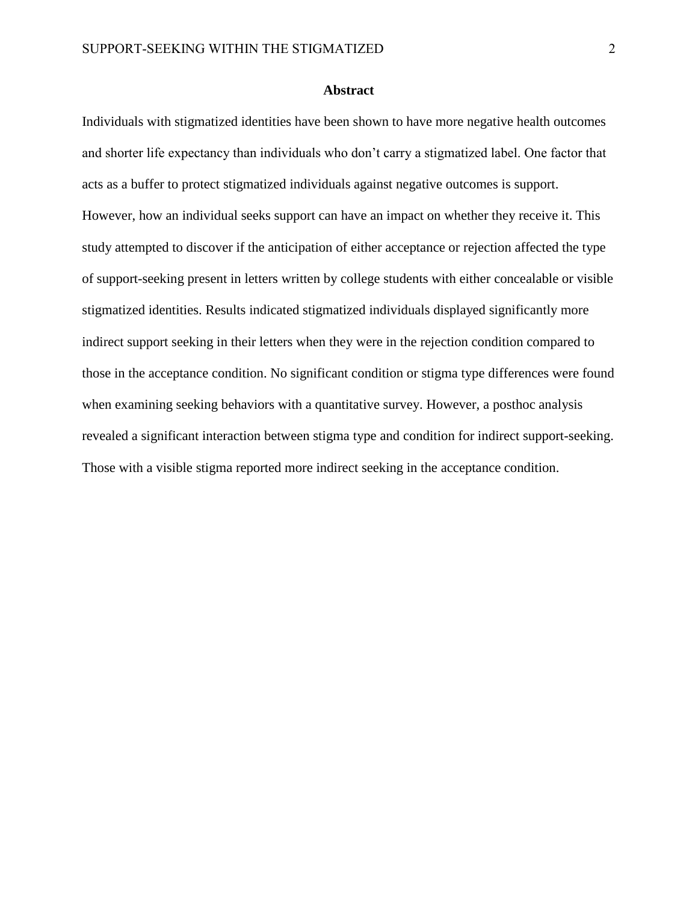#### **Abstract**

Individuals with stigmatized identities have been shown to have more negative health outcomes and shorter life expectancy than individuals who don't carry a stigmatized label. One factor that acts as a buffer to protect stigmatized individuals against negative outcomes is support. However, how an individual seeks support can have an impact on whether they receive it. This study attempted to discover if the anticipation of either acceptance or rejection affected the type of support-seeking present in letters written by college students with either concealable or visible stigmatized identities. Results indicated stigmatized individuals displayed significantly more indirect support seeking in their letters when they were in the rejection condition compared to those in the acceptance condition. No significant condition or stigma type differences were found when examining seeking behaviors with a quantitative survey. However, a posthoc analysis revealed a significant interaction between stigma type and condition for indirect support-seeking. Those with a visible stigma reported more indirect seeking in the acceptance condition.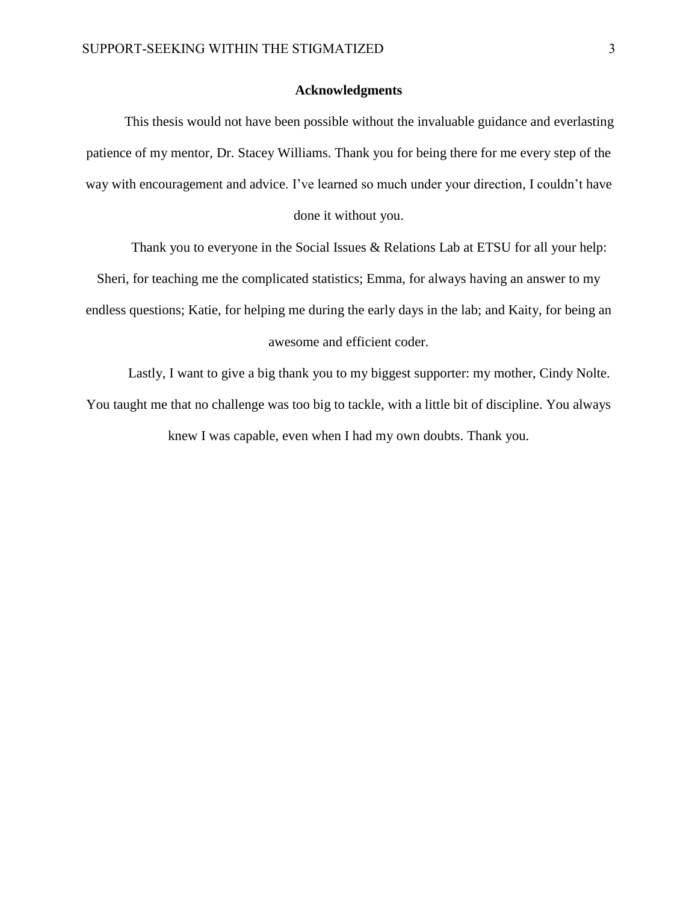#### **Acknowledgments**

This thesis would not have been possible without the invaluable guidance and everlasting patience of my mentor, Dr. Stacey Williams. Thank you for being there for me every step of the way with encouragement and advice. I've learned so much under your direction, I couldn't have

done it without you.

Thank you to everyone in the Social Issues & Relations Lab at ETSU for all your help:

Sheri, for teaching me the complicated statistics; Emma, for always having an answer to my

endless questions; Katie, for helping me during the early days in the lab; and Kaity, for being an

## awesome and efficient coder.

Lastly, I want to give a big thank you to my biggest supporter: my mother, Cindy Nolte. You taught me that no challenge was too big to tackle, with a little bit of discipline. You always knew I was capable, even when I had my own doubts. Thank you.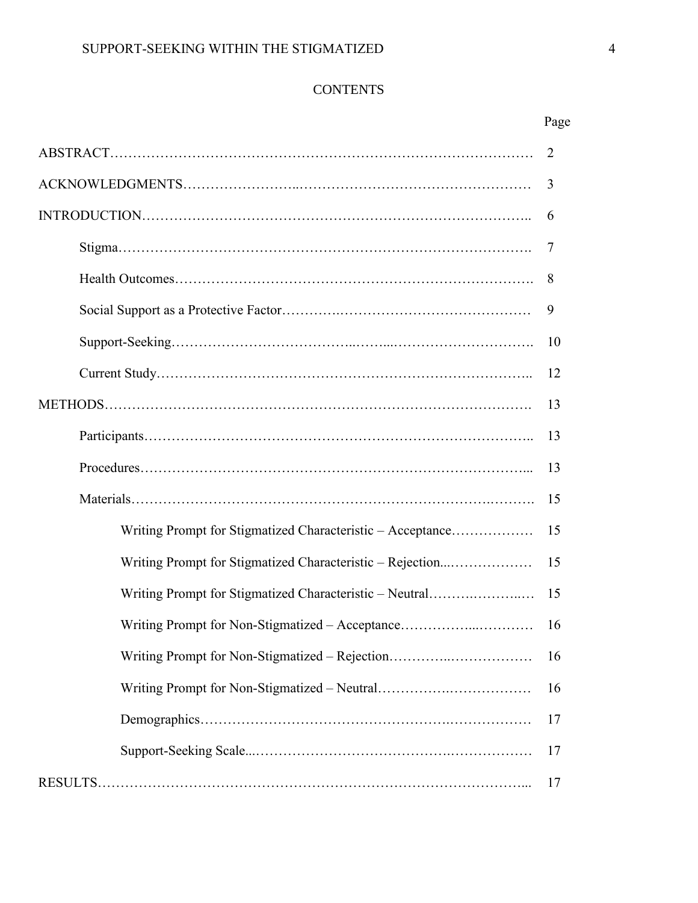# **CONTENTS**

|                                                            | Page |
|------------------------------------------------------------|------|
|                                                            | 2    |
|                                                            | 3    |
|                                                            | 6    |
|                                                            | 7    |
|                                                            | 8    |
|                                                            | 9    |
|                                                            | 10   |
|                                                            | 12   |
|                                                            | 13   |
|                                                            | 13   |
|                                                            | 13   |
|                                                            | 15   |
| Writing Prompt for Stigmatized Characteristic - Acceptance | 15   |
| Writing Prompt for Stigmatized Characteristic - Rejection  | 15   |
| Writing Prompt for Stigmatized Characteristic - Neutral    | 15   |
| Writing Prompt for Non-Stigmatized - Acceptance            | 16   |
| Writing Prompt for Non-Stigmatized – Rejection             | 16   |
|                                                            | 16   |
|                                                            | 17   |
|                                                            | 17   |
|                                                            | 17   |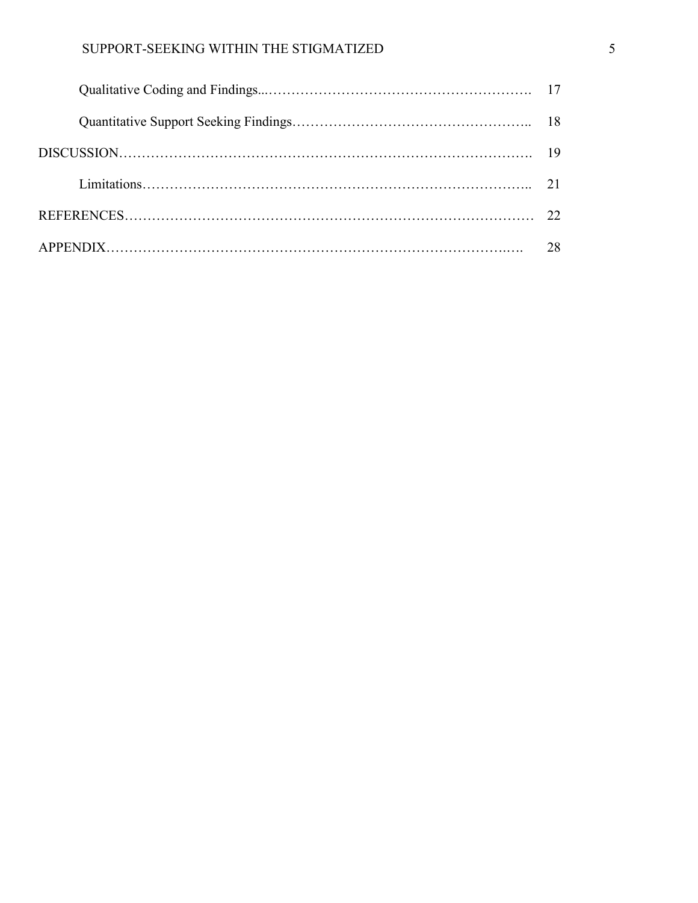# SUPPORT-SEEKING WITHIN THE STIGMATIZED 5

| 28 |
|----|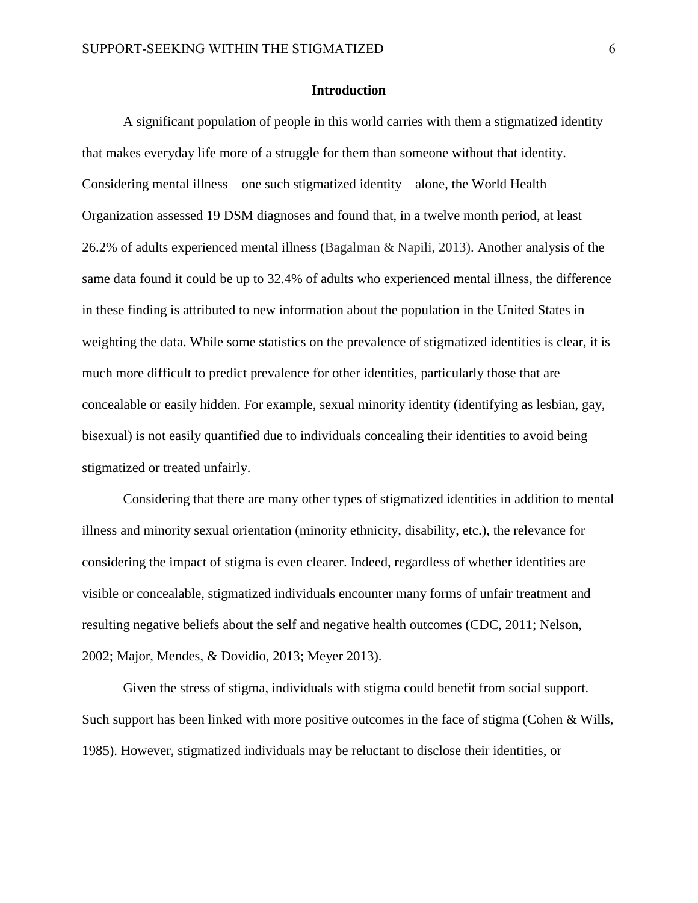#### **Introduction**

A significant population of people in this world carries with them a stigmatized identity that makes everyday life more of a struggle for them than someone without that identity. Considering mental illness – one such stigmatized identity – alone, the World Health Organization assessed 19 DSM diagnoses and found that, in a twelve month period, at least 26.2% of adults experienced mental illness (Bagalman & Napili, 2013). Another analysis of the same data found it could be up to 32.4% of adults who experienced mental illness, the difference in these finding is attributed to new information about the population in the United States in weighting the data. While some statistics on the prevalence of stigmatized identities is clear, it is much more difficult to predict prevalence for other identities, particularly those that are concealable or easily hidden. For example, sexual minority identity (identifying as lesbian, gay, bisexual) is not easily quantified due to individuals concealing their identities to avoid being stigmatized or treated unfairly.

Considering that there are many other types of stigmatized identities in addition to mental illness and minority sexual orientation (minority ethnicity, disability, etc.), the relevance for considering the impact of stigma is even clearer. Indeed, regardless of whether identities are visible or concealable, stigmatized individuals encounter many forms of unfair treatment and resulting negative beliefs about the self and negative health outcomes (CDC, 2011; Nelson, 2002; Major, Mendes, & Dovidio, 2013; Meyer 2013).

Given the stress of stigma, individuals with stigma could benefit from social support. Such support has been linked with more positive outcomes in the face of stigma (Cohen & Wills, 1985). However, stigmatized individuals may be reluctant to disclose their identities, or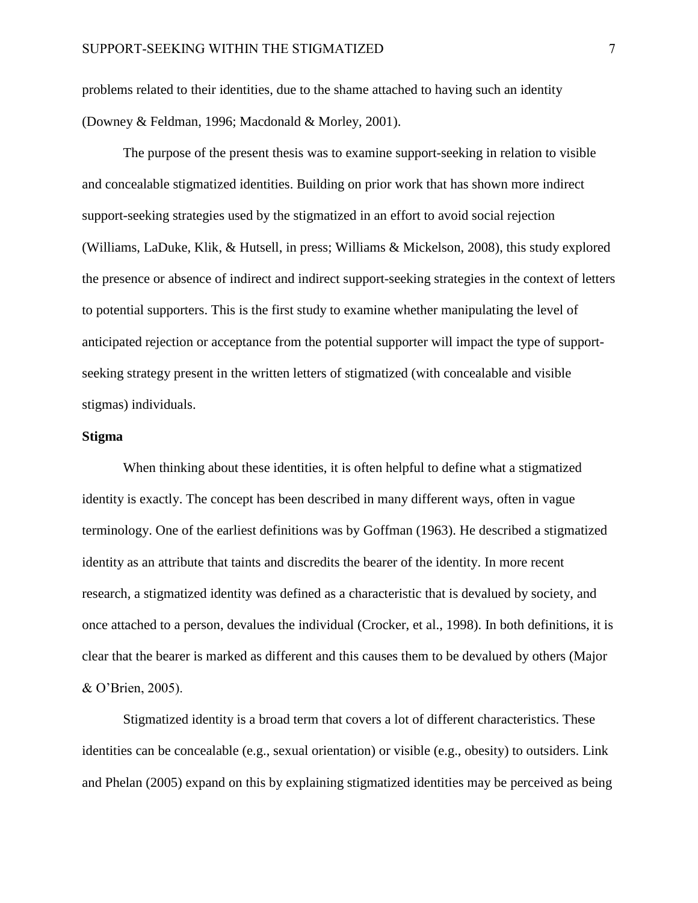problems related to their identities, due to the shame attached to having such an identity (Downey & Feldman, 1996; Macdonald & Morley, 2001).

The purpose of the present thesis was to examine support-seeking in relation to visible and concealable stigmatized identities. Building on prior work that has shown more indirect support-seeking strategies used by the stigmatized in an effort to avoid social rejection (Williams, LaDuke, Klik, & Hutsell, in press; Williams & Mickelson, 2008), this study explored the presence or absence of indirect and indirect support-seeking strategies in the context of letters to potential supporters. This is the first study to examine whether manipulating the level of anticipated rejection or acceptance from the potential supporter will impact the type of supportseeking strategy present in the written letters of stigmatized (with concealable and visible stigmas) individuals.

## **Stigma**

When thinking about these identities, it is often helpful to define what a stigmatized identity is exactly. The concept has been described in many different ways, often in vague terminology. One of the earliest definitions was by Goffman (1963). He described a stigmatized identity as an attribute that taints and discredits the bearer of the identity. In more recent research, a stigmatized identity was defined as a characteristic that is devalued by society, and once attached to a person, devalues the individual (Crocker, et al., 1998). In both definitions, it is clear that the bearer is marked as different and this causes them to be devalued by others (Major & O'Brien, 2005).

Stigmatized identity is a broad term that covers a lot of different characteristics. These identities can be concealable (e.g., sexual orientation) or visible (e.g., obesity) to outsiders. Link and Phelan (2005) expand on this by explaining stigmatized identities may be perceived as being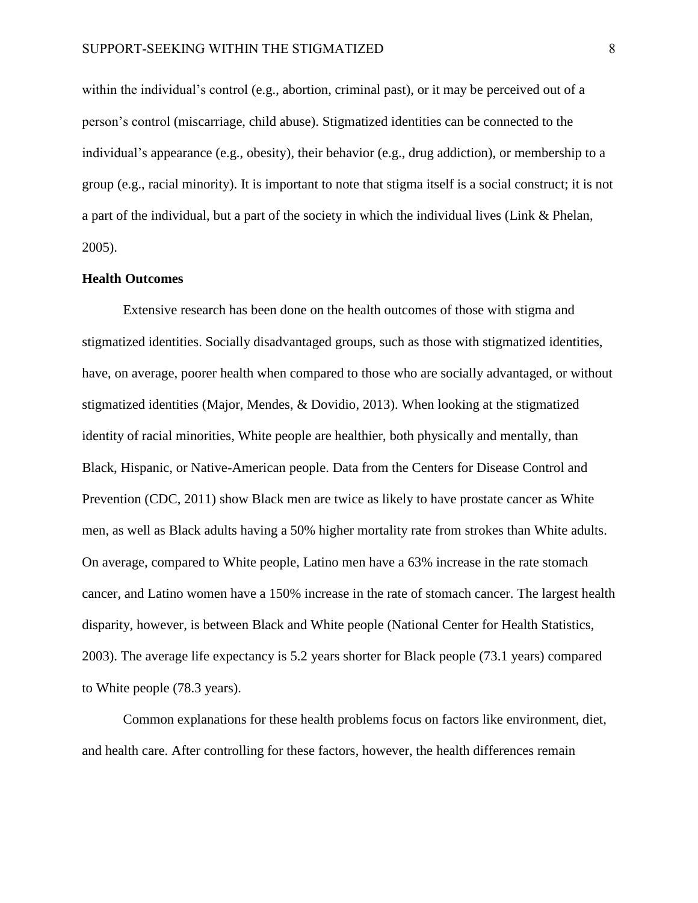within the individual's control (e.g., abortion, criminal past), or it may be perceived out of a person's control (miscarriage, child abuse). Stigmatized identities can be connected to the individual's appearance (e.g., obesity), their behavior (e.g., drug addiction), or membership to a group (e.g., racial minority). It is important to note that stigma itself is a social construct; it is not a part of the individual, but a part of the society in which the individual lives (Link & Phelan, 2005).

#### **Health Outcomes**

Extensive research has been done on the health outcomes of those with stigma and stigmatized identities. Socially disadvantaged groups, such as those with stigmatized identities, have, on average, poorer health when compared to those who are socially advantaged, or without stigmatized identities (Major, Mendes, & Dovidio, 2013). When looking at the stigmatized identity of racial minorities, White people are healthier, both physically and mentally, than Black, Hispanic, or Native-American people. Data from the Centers for Disease Control and Prevention (CDC, 2011) show Black men are twice as likely to have prostate cancer as White men, as well as Black adults having a 50% higher mortality rate from strokes than White adults. On average, compared to White people, Latino men have a 63% increase in the rate stomach cancer, and Latino women have a 150% increase in the rate of stomach cancer. The largest health disparity, however, is between Black and White people (National Center for Health Statistics, 2003). The average life expectancy is 5.2 years shorter for Black people (73.1 years) compared to White people (78.3 years).

Common explanations for these health problems focus on factors like environment, diet, and health care. After controlling for these factors, however, the health differences remain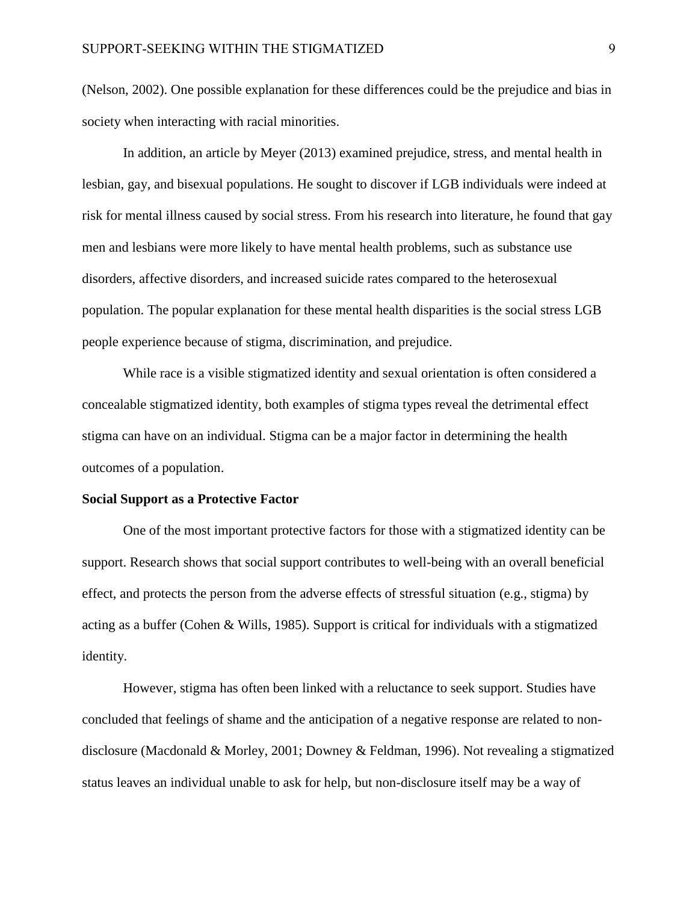(Nelson, 2002). One possible explanation for these differences could be the prejudice and bias in society when interacting with racial minorities.

In addition, an article by Meyer (2013) examined prejudice, stress, and mental health in lesbian, gay, and bisexual populations. He sought to discover if LGB individuals were indeed at risk for mental illness caused by social stress. From his research into literature, he found that gay men and lesbians were more likely to have mental health problems, such as substance use disorders, affective disorders, and increased suicide rates compared to the heterosexual population. The popular explanation for these mental health disparities is the social stress LGB people experience because of stigma, discrimination, and prejudice.

While race is a visible stigmatized identity and sexual orientation is often considered a concealable stigmatized identity, both examples of stigma types reveal the detrimental effect stigma can have on an individual. Stigma can be a major factor in determining the health outcomes of a population.

#### **Social Support as a Protective Factor**

One of the most important protective factors for those with a stigmatized identity can be support. Research shows that social support contributes to well-being with an overall beneficial effect, and protects the person from the adverse effects of stressful situation (e.g., stigma) by acting as a buffer (Cohen & Wills, 1985). Support is critical for individuals with a stigmatized identity.

However, stigma has often been linked with a reluctance to seek support. Studies have concluded that feelings of shame and the anticipation of a negative response are related to nondisclosure (Macdonald & Morley, 2001; Downey & Feldman, 1996). Not revealing a stigmatized status leaves an individual unable to ask for help, but non-disclosure itself may be a way of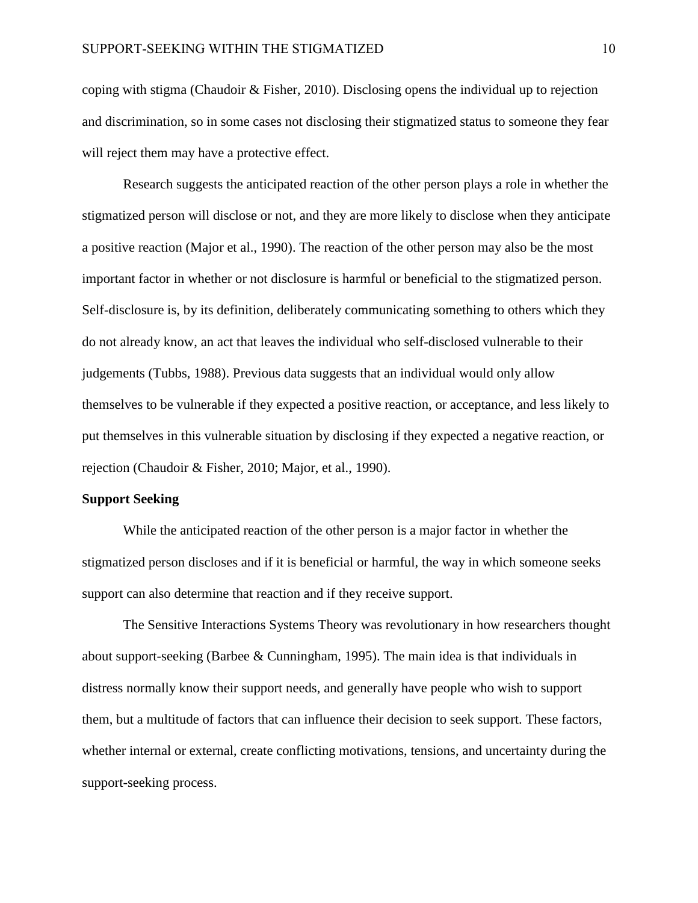coping with stigma (Chaudoir & Fisher, 2010). Disclosing opens the individual up to rejection and discrimination, so in some cases not disclosing their stigmatized status to someone they fear will reject them may have a protective effect.

Research suggests the anticipated reaction of the other person plays a role in whether the stigmatized person will disclose or not, and they are more likely to disclose when they anticipate a positive reaction (Major et al., 1990). The reaction of the other person may also be the most important factor in whether or not disclosure is harmful or beneficial to the stigmatized person. Self-disclosure is, by its definition, deliberately communicating something to others which they do not already know, an act that leaves the individual who self-disclosed vulnerable to their judgements (Tubbs, 1988). Previous data suggests that an individual would only allow themselves to be vulnerable if they expected a positive reaction, or acceptance, and less likely to put themselves in this vulnerable situation by disclosing if they expected a negative reaction, or rejection (Chaudoir & Fisher, 2010; Major, et al., 1990).

## **Support Seeking**

While the anticipated reaction of the other person is a major factor in whether the stigmatized person discloses and if it is beneficial or harmful, the way in which someone seeks support can also determine that reaction and if they receive support.

The Sensitive Interactions Systems Theory was revolutionary in how researchers thought about support-seeking (Barbee & Cunningham, 1995). The main idea is that individuals in distress normally know their support needs, and generally have people who wish to support them, but a multitude of factors that can influence their decision to seek support. These factors, whether internal or external, create conflicting motivations, tensions, and uncertainty during the support-seeking process.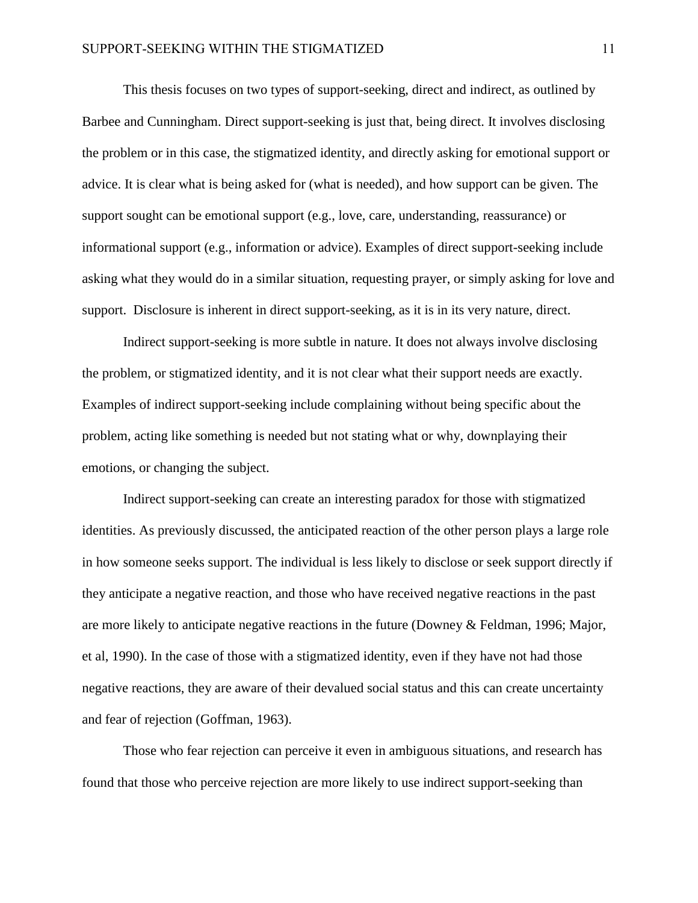This thesis focuses on two types of support-seeking, direct and indirect, as outlined by Barbee and Cunningham. Direct support-seeking is just that, being direct. It involves disclosing the problem or in this case, the stigmatized identity, and directly asking for emotional support or advice. It is clear what is being asked for (what is needed), and how support can be given. The support sought can be emotional support (e.g., love, care, understanding, reassurance) or informational support (e.g., information or advice). Examples of direct support-seeking include asking what they would do in a similar situation, requesting prayer, or simply asking for love and support. Disclosure is inherent in direct support-seeking, as it is in its very nature, direct.

Indirect support-seeking is more subtle in nature. It does not always involve disclosing the problem, or stigmatized identity, and it is not clear what their support needs are exactly. Examples of indirect support-seeking include complaining without being specific about the problem, acting like something is needed but not stating what or why, downplaying their emotions, or changing the subject.

Indirect support-seeking can create an interesting paradox for those with stigmatized identities. As previously discussed, the anticipated reaction of the other person plays a large role in how someone seeks support. The individual is less likely to disclose or seek support directly if they anticipate a negative reaction, and those who have received negative reactions in the past are more likely to anticipate negative reactions in the future (Downey & Feldman, 1996; Major, et al, 1990). In the case of those with a stigmatized identity, even if they have not had those negative reactions, they are aware of their devalued social status and this can create uncertainty and fear of rejection (Goffman, 1963).

Those who fear rejection can perceive it even in ambiguous situations, and research has found that those who perceive rejection are more likely to use indirect support-seeking than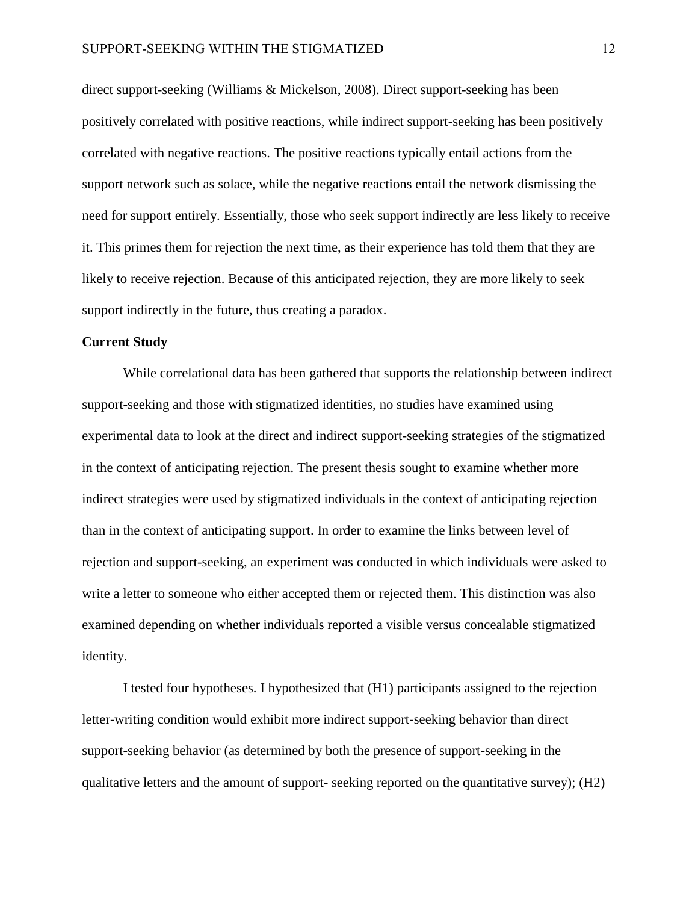direct support-seeking (Williams & Mickelson, 2008). Direct support-seeking has been positively correlated with positive reactions, while indirect support-seeking has been positively correlated with negative reactions. The positive reactions typically entail actions from the support network such as solace, while the negative reactions entail the network dismissing the need for support entirely. Essentially, those who seek support indirectly are less likely to receive it. This primes them for rejection the next time, as their experience has told them that they are likely to receive rejection. Because of this anticipated rejection, they are more likely to seek support indirectly in the future, thus creating a paradox.

## **Current Study**

While correlational data has been gathered that supports the relationship between indirect support-seeking and those with stigmatized identities, no studies have examined using experimental data to look at the direct and indirect support-seeking strategies of the stigmatized in the context of anticipating rejection. The present thesis sought to examine whether more indirect strategies were used by stigmatized individuals in the context of anticipating rejection than in the context of anticipating support. In order to examine the links between level of rejection and support-seeking, an experiment was conducted in which individuals were asked to write a letter to someone who either accepted them or rejected them. This distinction was also examined depending on whether individuals reported a visible versus concealable stigmatized identity.

I tested four hypotheses. I hypothesized that (H1) participants assigned to the rejection letter-writing condition would exhibit more indirect support-seeking behavior than direct support-seeking behavior (as determined by both the presence of support-seeking in the qualitative letters and the amount of support- seeking reported on the quantitative survey); (H2)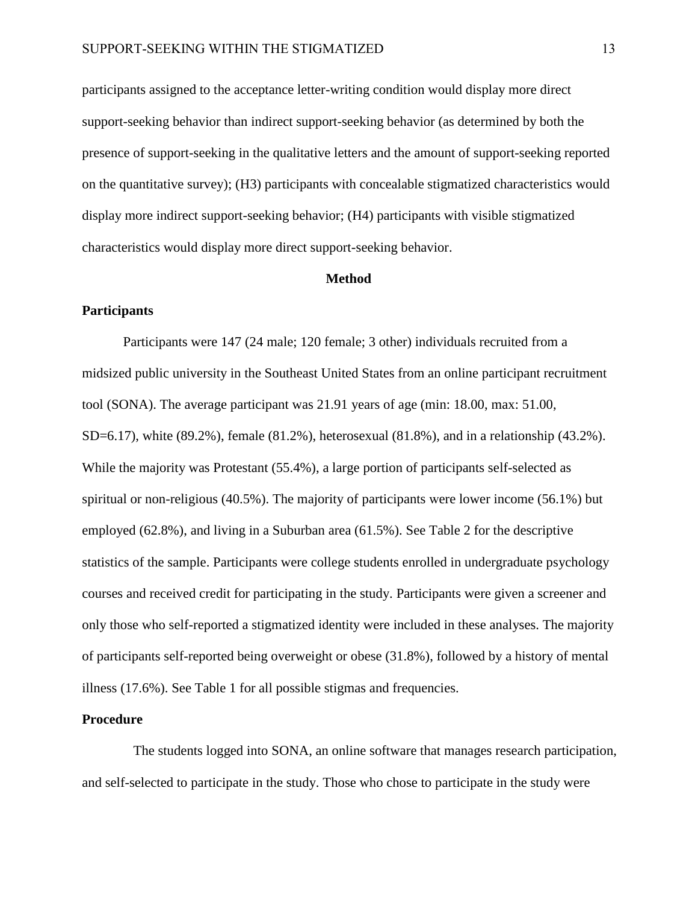participants assigned to the acceptance letter-writing condition would display more direct support-seeking behavior than indirect support-seeking behavior (as determined by both the presence of support-seeking in the qualitative letters and the amount of support-seeking reported on the quantitative survey); (H3) participants with concealable stigmatized characteristics would display more indirect support-seeking behavior; (H4) participants with visible stigmatized characteristics would display more direct support-seeking behavior.

#### **Method**

## **Participants**

Participants were 147 (24 male; 120 female; 3 other) individuals recruited from a midsized public university in the Southeast United States from an online participant recruitment tool (SONA). The average participant was 21.91 years of age (min: 18.00, max: 51.00, SD=6.17), white (89.2%), female (81.2%), heterosexual (81.8%), and in a relationship (43.2%). While the majority was Protestant (55.4%), a large portion of participants self-selected as spiritual or non-religious (40.5%). The majority of participants were lower income (56.1%) but employed (62.8%), and living in a Suburban area (61.5%). See Table 2 for the descriptive statistics of the sample. Participants were college students enrolled in undergraduate psychology courses and received credit for participating in the study. Participants were given a screener and only those who self-reported a stigmatized identity were included in these analyses. The majority of participants self-reported being overweight or obese (31.8%), followed by a history of mental illness (17.6%). See Table 1 for all possible stigmas and frequencies.

## **Procedure**

The students logged into SONA, an online software that manages research participation, and self-selected to participate in the study. Those who chose to participate in the study were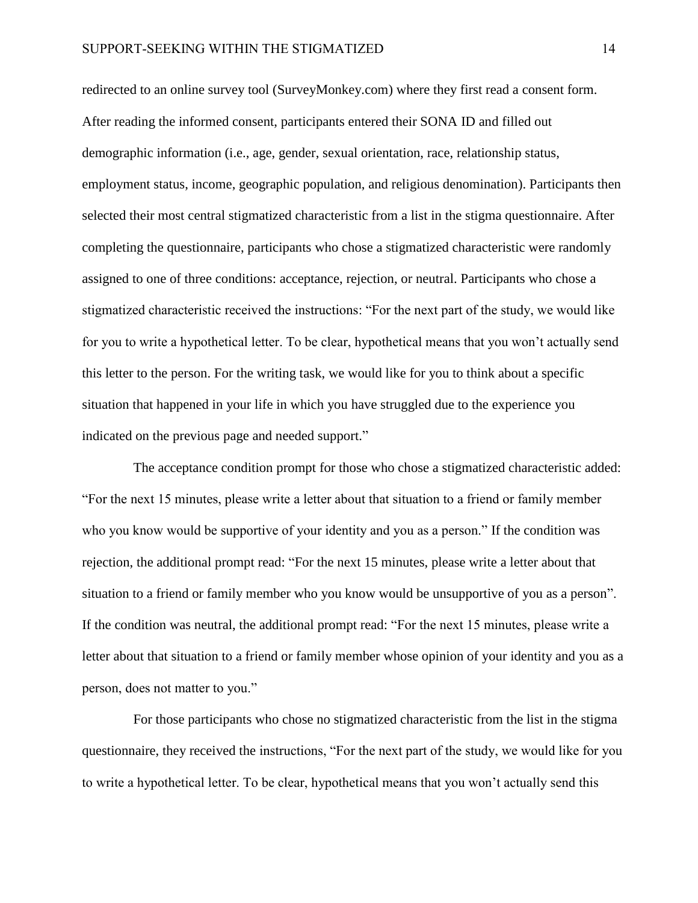redirected to an online survey tool (SurveyMonkey.com) where they first read a consent form. After reading the informed consent, participants entered their SONA ID and filled out demographic information (i.e., age, gender, sexual orientation, race, relationship status, employment status, income, geographic population, and religious denomination). Participants then selected their most central stigmatized characteristic from a list in the stigma questionnaire. After completing the questionnaire, participants who chose a stigmatized characteristic were randomly assigned to one of three conditions: acceptance, rejection, or neutral. Participants who chose a stigmatized characteristic received the instructions: "For the next part of the study, we would like for you to write a hypothetical letter. To be clear, hypothetical means that you won't actually send this letter to the person. For the writing task, we would like for you to think about a specific situation that happened in your life in which you have struggled due to the experience you indicated on the previous page and needed support."

The acceptance condition prompt for those who chose a stigmatized characteristic added: "For the next 15 minutes, please write a letter about that situation to a friend or family member who you know would be supportive of your identity and you as a person." If the condition was rejection, the additional prompt read: "For the next 15 minutes, please write a letter about that situation to a friend or family member who you know would be unsupportive of you as a person". If the condition was neutral, the additional prompt read: "For the next 15 minutes, please write a letter about that situation to a friend or family member whose opinion of your identity and you as a person, does not matter to you."

For those participants who chose no stigmatized characteristic from the list in the stigma questionnaire, they received the instructions, "For the next part of the study, we would like for you to write a hypothetical letter. To be clear, hypothetical means that you won't actually send this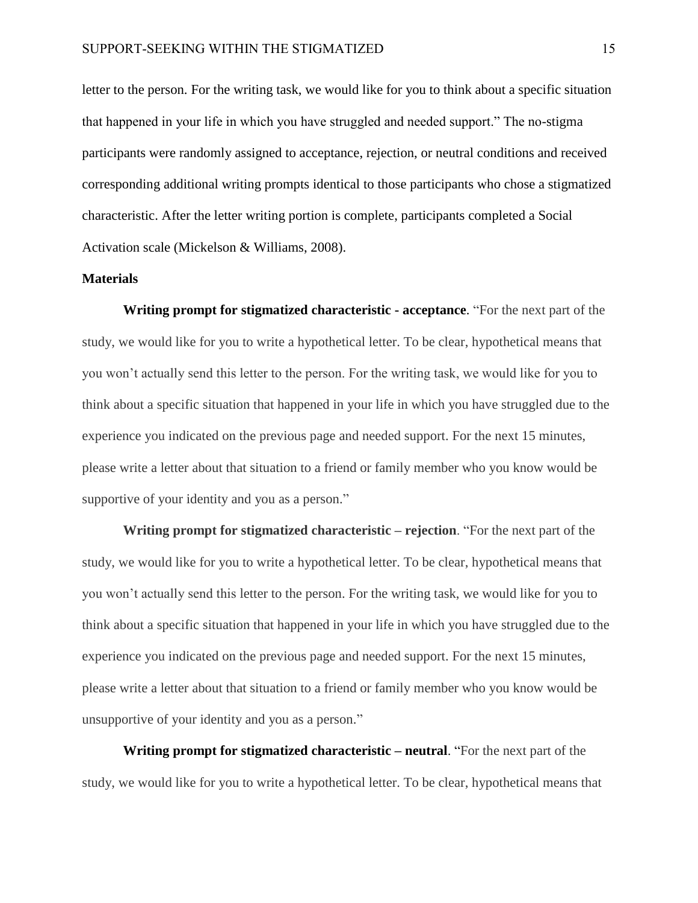letter to the person. For the writing task, we would like for you to think about a specific situation that happened in your life in which you have struggled and needed support." The no-stigma participants were randomly assigned to acceptance, rejection, or neutral conditions and received corresponding additional writing prompts identical to those participants who chose a stigmatized characteristic. After the letter writing portion is complete, participants completed a Social Activation scale (Mickelson & Williams, 2008).

## **Materials**

**Writing prompt for stigmatized characteristic - acceptance**. "For the next part of the study, we would like for you to write a hypothetical letter. To be clear, hypothetical means that you won't actually send this letter to the person. For the writing task, we would like for you to think about a specific situation that happened in your life in which you have struggled due to the experience you indicated on the previous page and needed support. For the next 15 minutes, please write a letter about that situation to a friend or family member who you know would be supportive of your identity and you as a person."

**Writing prompt for stigmatized characteristic – rejection**. "For the next part of the study, we would like for you to write a hypothetical letter. To be clear, hypothetical means that you won't actually send this letter to the person. For the writing task, we would like for you to think about a specific situation that happened in your life in which you have struggled due to the experience you indicated on the previous page and needed support. For the next 15 minutes, please write a letter about that situation to a friend or family member who you know would be unsupportive of your identity and you as a person."

**Writing prompt for stigmatized characteristic – neutral**. "For the next part of the study, we would like for you to write a hypothetical letter. To be clear, hypothetical means that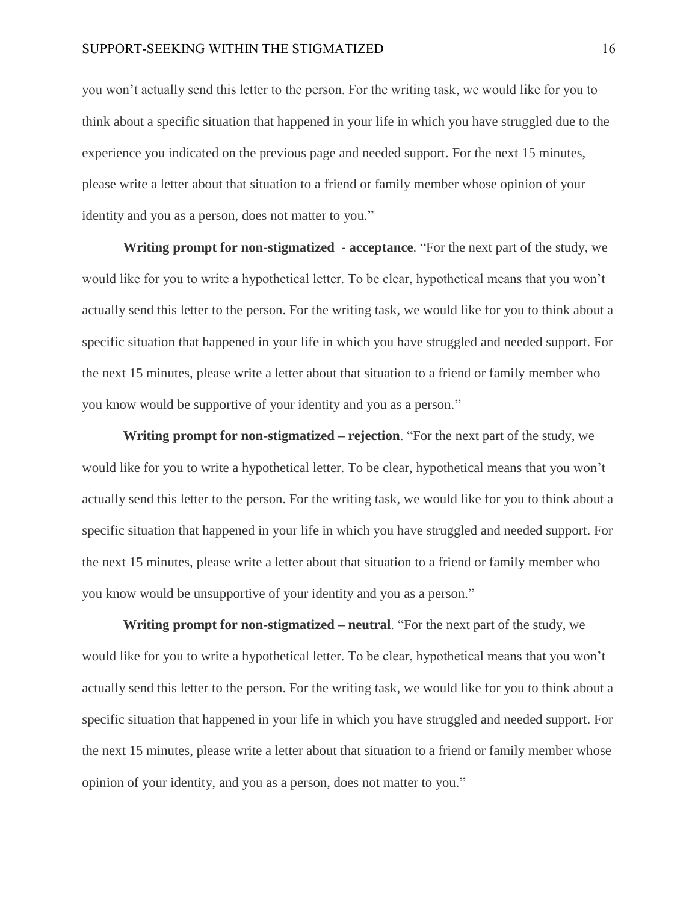you won't actually send this letter to the person. For the writing task, we would like for you to think about a specific situation that happened in your life in which you have struggled due to the experience you indicated on the previous page and needed support. For the next 15 minutes, please write a letter about that situation to a friend or family member whose opinion of your identity and you as a person, does not matter to you."

**Writing prompt for non-stigmatized - acceptance**. "For the next part of the study, we would like for you to write a hypothetical letter. To be clear, hypothetical means that you won't actually send this letter to the person. For the writing task, we would like for you to think about a specific situation that happened in your life in which you have struggled and needed support. For the next 15 minutes, please write a letter about that situation to a friend or family member who you know would be supportive of your identity and you as a person."

**Writing prompt for non-stigmatized – rejection**. "For the next part of the study, we would like for you to write a hypothetical letter. To be clear, hypothetical means that you won't actually send this letter to the person. For the writing task, we would like for you to think about a specific situation that happened in your life in which you have struggled and needed support. For the next 15 minutes, please write a letter about that situation to a friend or family member who you know would be unsupportive of your identity and you as a person."

**Writing prompt for non-stigmatized – neutral**. "For the next part of the study, we would like for you to write a hypothetical letter. To be clear, hypothetical means that you won't actually send this letter to the person. For the writing task, we would like for you to think about a specific situation that happened in your life in which you have struggled and needed support. For the next 15 minutes, please write a letter about that situation to a friend or family member whose opinion of your identity, and you as a person, does not matter to you."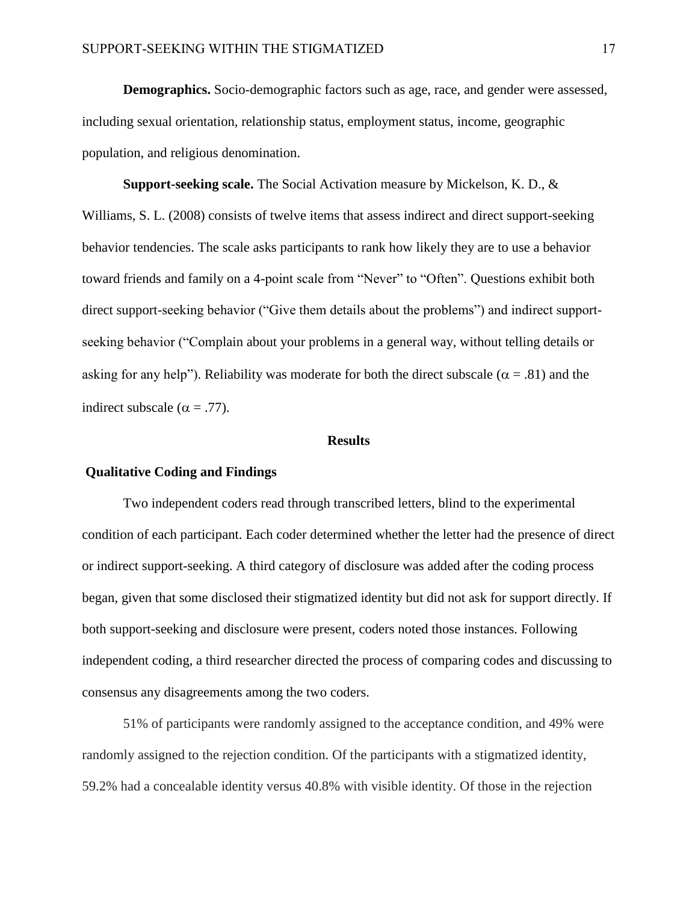**Demographics.** Socio-demographic factors such as age, race, and gender were assessed, including sexual orientation, relationship status, employment status, income, geographic population, and religious denomination.

**Support-seeking scale.** The Social Activation measure by Mickelson, K. D., & Williams, S. L. (2008) consists of twelve items that assess indirect and direct support-seeking behavior tendencies. The scale asks participants to rank how likely they are to use a behavior toward friends and family on a 4-point scale from "Never" to "Often". Questions exhibit both direct support-seeking behavior ("Give them details about the problems") and indirect supportseeking behavior ("Complain about your problems in a general way, without telling details or asking for any help"). Reliability was moderate for both the direct subscale ( $\alpha = .81$ ) and the indirect subscale ( $\alpha = .77$ ).

#### **Results**

## **Qualitative Coding and Findings**

Two independent coders read through transcribed letters, blind to the experimental condition of each participant. Each coder determined whether the letter had the presence of direct or indirect support-seeking. A third category of disclosure was added after the coding process began, given that some disclosed their stigmatized identity but did not ask for support directly. If both support-seeking and disclosure were present, coders noted those instances. Following independent coding, a third researcher directed the process of comparing codes and discussing to consensus any disagreements among the two coders.

51% of participants were randomly assigned to the acceptance condition, and 49% were randomly assigned to the rejection condition. Of the participants with a stigmatized identity, 59.2% had a concealable identity versus 40.8% with visible identity. Of those in the rejection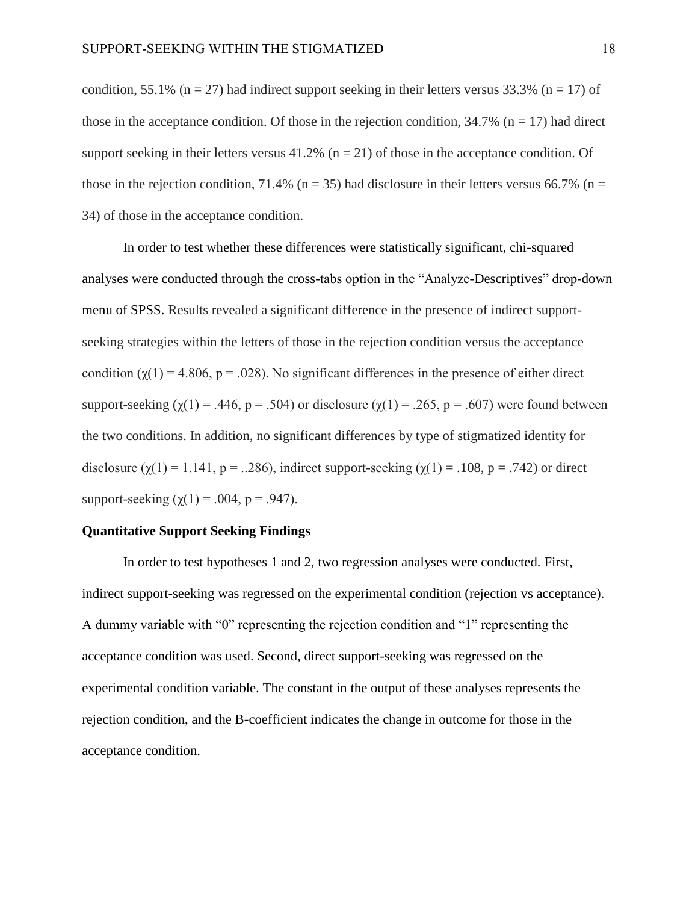condition, 55.1% (n = 27) had indirect support seeking in their letters versus 33.3% (n = 17) of those in the acceptance condition. Of those in the rejection condition,  $34.7\%$  (n = 17) had direct support seeking in their letters versus  $41.2\%$  (n = 21) of those in the acceptance condition. Of those in the rejection condition, 71.4% ( $n = 35$ ) had disclosure in their letters versus 66.7% ( $n =$ 34) of those in the acceptance condition.

In order to test whether these differences were statistically significant, chi-squared analyses were conducted through the cross-tabs option in the "Analyze-Descriptives" drop-down menu of SPSS. Results revealed a significant difference in the presence of indirect supportseeking strategies within the letters of those in the rejection condition versus the acceptance condition ( $\gamma(1) = 4.806$ ,  $p = .028$ ). No significant differences in the presence of either direct support-seeking ( $\chi(1) = .446$ ,  $p = .504$ ) or disclosure ( $\chi(1) = .265$ ,  $p = .607$ ) were found between the two conditions. In addition, no significant differences by type of stigmatized identity for disclosure  $(\gamma(1) = 1.141, p = ...286)$ , indirect support-seeking  $(\gamma(1) = .108, p = .742)$  or direct support-seeking  $(\gamma(1) = .004, p = .947)$ .

## **Quantitative Support Seeking Findings**

In order to test hypotheses 1 and 2, two regression analyses were conducted. First, indirect support-seeking was regressed on the experimental condition (rejection vs acceptance). A dummy variable with "0" representing the rejection condition and "1" representing the acceptance condition was used. Second, direct support-seeking was regressed on the experimental condition variable. The constant in the output of these analyses represents the rejection condition, and the B-coefficient indicates the change in outcome for those in the acceptance condition.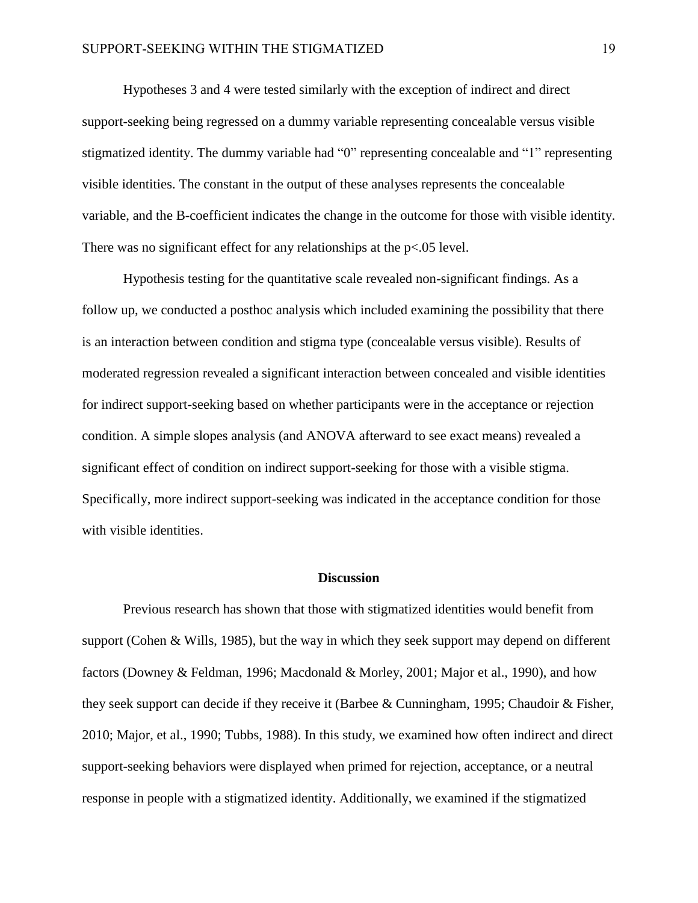Hypotheses 3 and 4 were tested similarly with the exception of indirect and direct support-seeking being regressed on a dummy variable representing concealable versus visible stigmatized identity. The dummy variable had "0" representing concealable and "1" representing visible identities. The constant in the output of these analyses represents the concealable variable, and the B-coefficient indicates the change in the outcome for those with visible identity. There was no significant effect for any relationships at the p<.05 level.

Hypothesis testing for the quantitative scale revealed non-significant findings. As a follow up, we conducted a posthoc analysis which included examining the possibility that there is an interaction between condition and stigma type (concealable versus visible). Results of moderated regression revealed a significant interaction between concealed and visible identities for indirect support-seeking based on whether participants were in the acceptance or rejection condition. A simple slopes analysis (and ANOVA afterward to see exact means) revealed a significant effect of condition on indirect support-seeking for those with a visible stigma. Specifically, more indirect support-seeking was indicated in the acceptance condition for those with visible identities.

#### **Discussion**

Previous research has shown that those with stigmatized identities would benefit from support (Cohen & Wills, 1985), but the way in which they seek support may depend on different factors (Downey & Feldman, 1996; Macdonald & Morley, 2001; Major et al., 1990), and how they seek support can decide if they receive it (Barbee & Cunningham, 1995; Chaudoir & Fisher, 2010; Major, et al., 1990; Tubbs, 1988). In this study, we examined how often indirect and direct support-seeking behaviors were displayed when primed for rejection, acceptance, or a neutral response in people with a stigmatized identity. Additionally, we examined if the stigmatized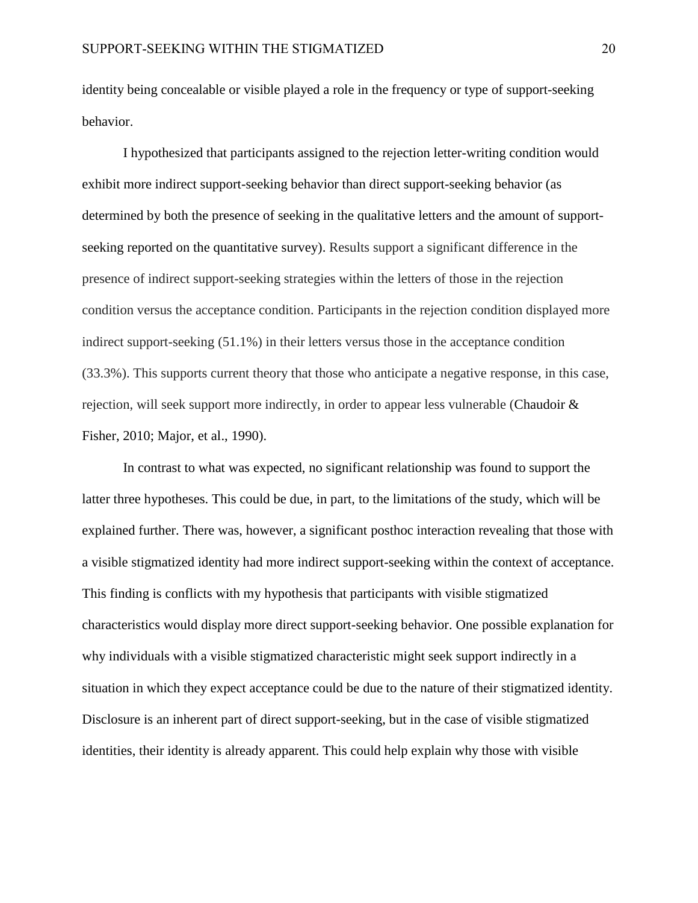identity being concealable or visible played a role in the frequency or type of support-seeking behavior.

I hypothesized that participants assigned to the rejection letter-writing condition would exhibit more indirect support-seeking behavior than direct support-seeking behavior (as determined by both the presence of seeking in the qualitative letters and the amount of supportseeking reported on the quantitative survey). Results support a significant difference in the presence of indirect support-seeking strategies within the letters of those in the rejection condition versus the acceptance condition. Participants in the rejection condition displayed more indirect support-seeking (51.1%) in their letters versus those in the acceptance condition (33.3%). This supports current theory that those who anticipate a negative response, in this case, rejection, will seek support more indirectly, in order to appear less vulnerable (Chaudoir & Fisher, 2010; Major, et al., 1990).

In contrast to what was expected, no significant relationship was found to support the latter three hypotheses. This could be due, in part, to the limitations of the study, which will be explained further. There was, however, a significant posthoc interaction revealing that those with a visible stigmatized identity had more indirect support-seeking within the context of acceptance. This finding is conflicts with my hypothesis that participants with visible stigmatized characteristics would display more direct support-seeking behavior. One possible explanation for why individuals with a visible stigmatized characteristic might seek support indirectly in a situation in which they expect acceptance could be due to the nature of their stigmatized identity. Disclosure is an inherent part of direct support-seeking, but in the case of visible stigmatized identities, their identity is already apparent. This could help explain why those with visible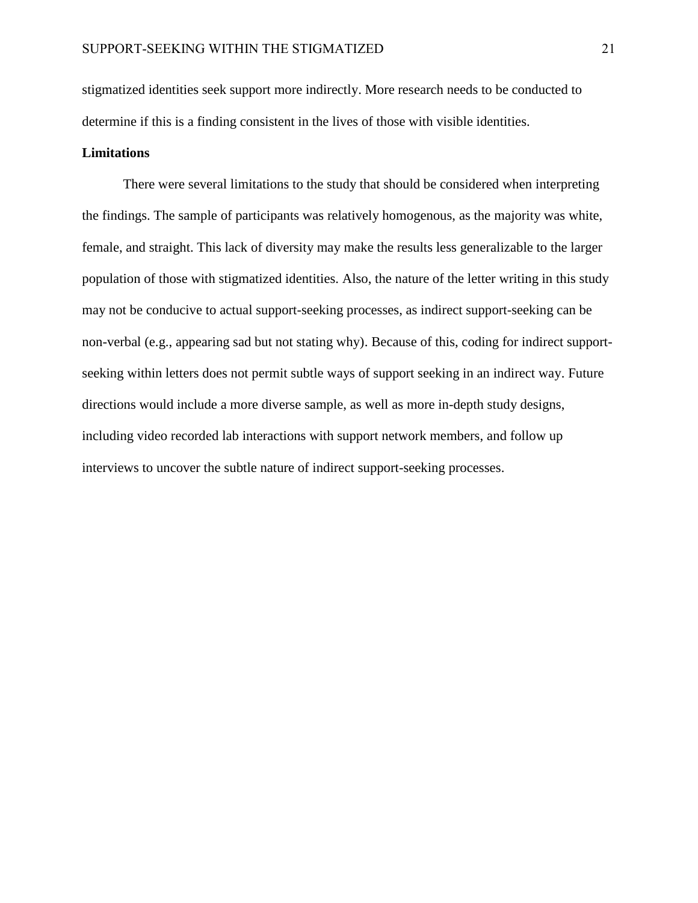stigmatized identities seek support more indirectly. More research needs to be conducted to determine if this is a finding consistent in the lives of those with visible identities.

## **Limitations**

There were several limitations to the study that should be considered when interpreting the findings. The sample of participants was relatively homogenous, as the majority was white, female, and straight. This lack of diversity may make the results less generalizable to the larger population of those with stigmatized identities. Also, the nature of the letter writing in this study may not be conducive to actual support-seeking processes, as indirect support-seeking can be non-verbal (e.g., appearing sad but not stating why). Because of this, coding for indirect supportseeking within letters does not permit subtle ways of support seeking in an indirect way. Future directions would include a more diverse sample, as well as more in-depth study designs, including video recorded lab interactions with support network members, and follow up interviews to uncover the subtle nature of indirect support-seeking processes.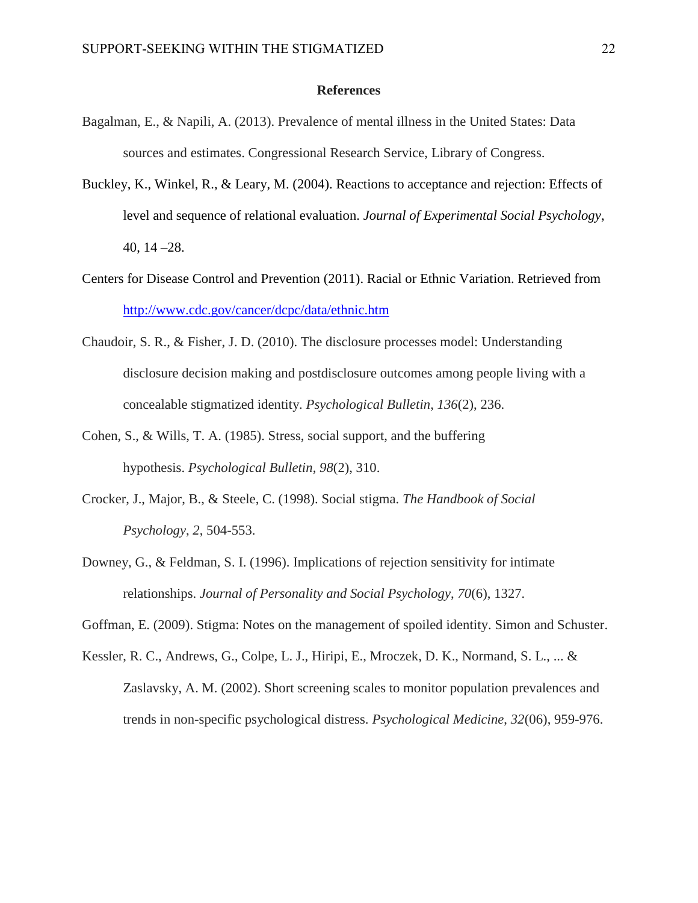#### **References**

- Bagalman, E., & Napili, A. (2013). Prevalence of mental illness in the United States: Data sources and estimates. Congressional Research Service, Library of Congress.
- Buckley, K., Winkel, R., & Leary, M. (2004). Reactions to acceptance and rejection: Effects of level and sequence of relational evaluation. *Journal of Experimental Social Psychology*, 40, 14 –28.
- Centers for Disease Control and Prevention (2011). Racial or Ethnic Variation. Retrieved from <http://www.cdc.gov/cancer/dcpc/data/ethnic.htm>
- Chaudoir, S. R., & Fisher, J. D. (2010). The disclosure processes model: Understanding disclosure decision making and postdisclosure outcomes among people living with a concealable stigmatized identity. *Psychological Bulletin*, *136*(2), 236.
- Cohen, S., & Wills, T. A. (1985). Stress, social support, and the buffering hypothesis. *Psychological Bulletin*, *98*(2), 310.
- Crocker, J., Major, B., & Steele, C. (1998). Social stigma. *The Handbook of Social Psychology*, *2*, 504-553.
- Downey, G., & Feldman, S. I. (1996). Implications of rejection sensitivity for intimate relationships. *Journal of Personality and Social Psychology*, *70*(6), 1327.

Goffman, E. (2009). Stigma: Notes on the management of spoiled identity. Simon and Schuster.

Kessler, R. C., Andrews, G., Colpe, L. J., Hiripi, E., Mroczek, D. K., Normand, S. L., ... & Zaslavsky, A. M. (2002). Short screening scales to monitor population prevalences and trends in non-specific psychological distress. *Psychological Medicine*, *32*(06), 959-976.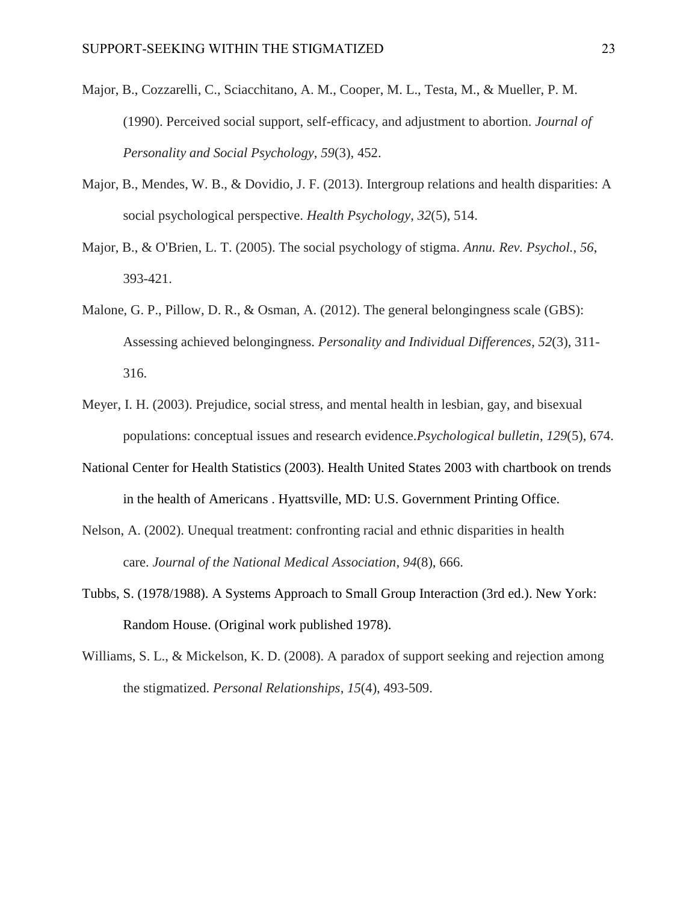- Major, B., Cozzarelli, C., Sciacchitano, A. M., Cooper, M. L., Testa, M., & Mueller, P. M. (1990). Perceived social support, self-efficacy, and adjustment to abortion. *Journal of Personality and Social Psychology*, *59*(3), 452.
- Major, B., Mendes, W. B., & Dovidio, J. F. (2013). Intergroup relations and health disparities: A social psychological perspective. *Health Psychology*, *32*(5), 514.
- Major, B., & O'Brien, L. T. (2005). The social psychology of stigma. *Annu. Rev. Psychol.*, *56*, 393-421.
- Malone, G. P., Pillow, D. R., & Osman, A. (2012). The general belongingness scale (GBS): Assessing achieved belongingness. *Personality and Individual Differences*, *52*(3), 311- 316.
- Meyer, I. H. (2003). Prejudice, social stress, and mental health in lesbian, gay, and bisexual populations: conceptual issues and research evidence.*Psychological bulletin*, *129*(5), 674.
- National Center for Health Statistics (2003). Health United States 2003 with chartbook on trends in the health of Americans . Hyattsville, MD: U.S. Government Printing Office.
- Nelson, A. (2002). Unequal treatment: confronting racial and ethnic disparities in health care. *Journal of the National Medical Association*, *94*(8), 666.
- Tubbs, S. (1978/1988). A Systems Approach to Small Group Interaction (3rd ed.). New York: Random House. (Original work published 1978).
- Williams, S. L., & Mickelson, K. D. (2008). A paradox of support seeking and rejection among the stigmatized. *Personal Relationships*, *15*(4), 493-509.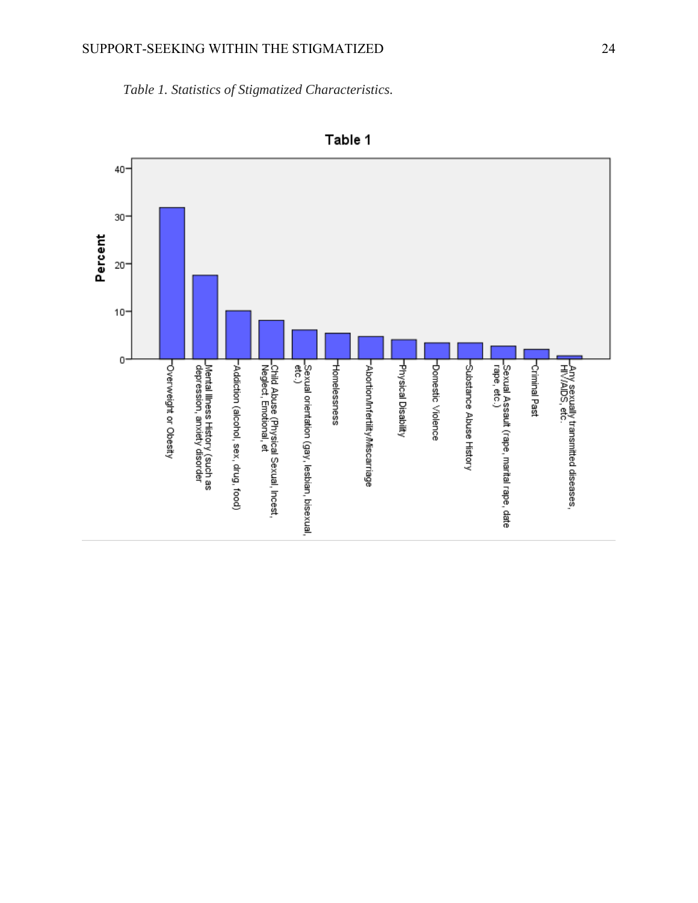*Table 1. Statistics of Stigmatized Characteristics.*



Table 1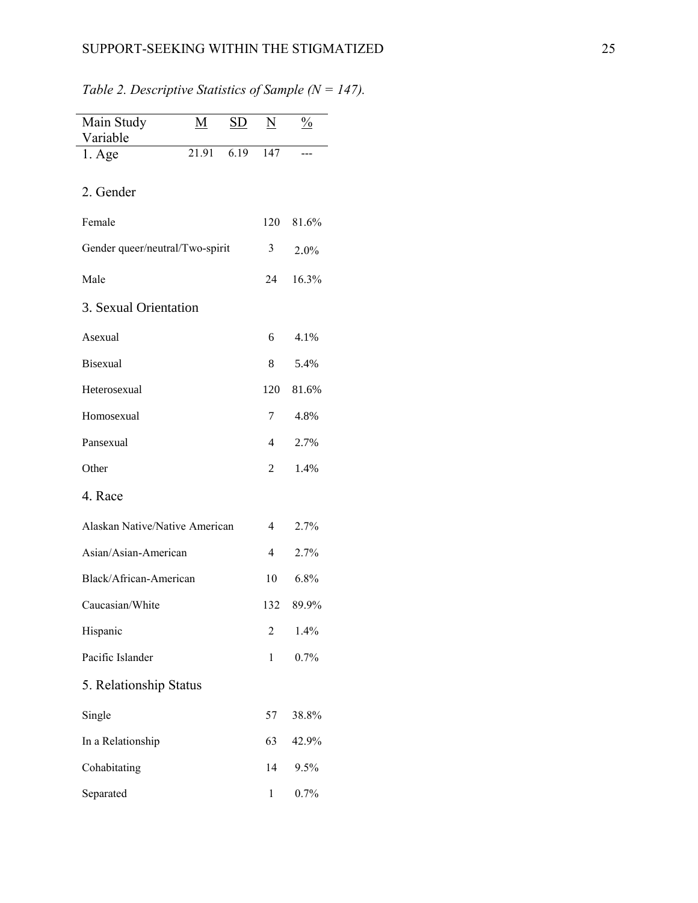| Main Study                      | М     | <u>SD</u> | N   | $\frac{0}{0}$ |
|---------------------------------|-------|-----------|-----|---------------|
| Variable                        | 21.91 |           |     |               |
| $1. \text{Age}$                 |       | 6.19      | 147 |               |
|                                 |       |           |     |               |
| 2. Gender                       |       |           |     |               |
| Female                          |       |           | 120 | 81.6%         |
|                                 |       |           |     |               |
| Gender queer/neutral/Two-spirit |       |           | 3   | 2.0%          |
|                                 |       |           |     |               |
| Male                            |       |           | 24  | 16.3%         |
| 3. Sexual Orientation           |       |           |     |               |
|                                 |       |           |     |               |
| Asexual                         |       |           | 6   | 4.1%          |
| <b>Bisexual</b>                 |       |           | 8   | 5.4%          |
|                                 |       |           |     |               |
| Heterosexual                    |       |           | 120 | 81.6%         |
| Homosexual                      |       |           | 7   | 4.8%          |
|                                 |       |           |     |               |
| Pansexual                       |       |           | 4   | 2.7%          |
| Other                           |       |           | 2   | 1.4%          |
| 4. Race                         |       |           |     |               |
|                                 |       |           |     |               |
| Alaskan Native/Native American  |       |           | 4   | 2.7%          |
| Asian/Asian-American            |       |           | 4   | 2.7%          |
| Black/African-American          |       |           | 10  | 6.8%          |
| Caucasian/White                 |       |           | 132 | 89.9%         |
| Hispanic                        |       |           | 2   | 1.4%          |
| Pacific Islander                |       |           | 1   | 0.7%          |
|                                 |       |           |     |               |
| 5. Relationship Status          |       |           |     |               |
| Single                          |       |           | 57  | 38.8%         |
| In a Relationship               |       |           | 63  | 42.9%         |
| Cohabitating                    |       |           | 14  | 9.5%          |
| Separated                       |       |           | 1   | 0.7%          |

*Table 2. Descriptive Statistics of Sample (N = 147).*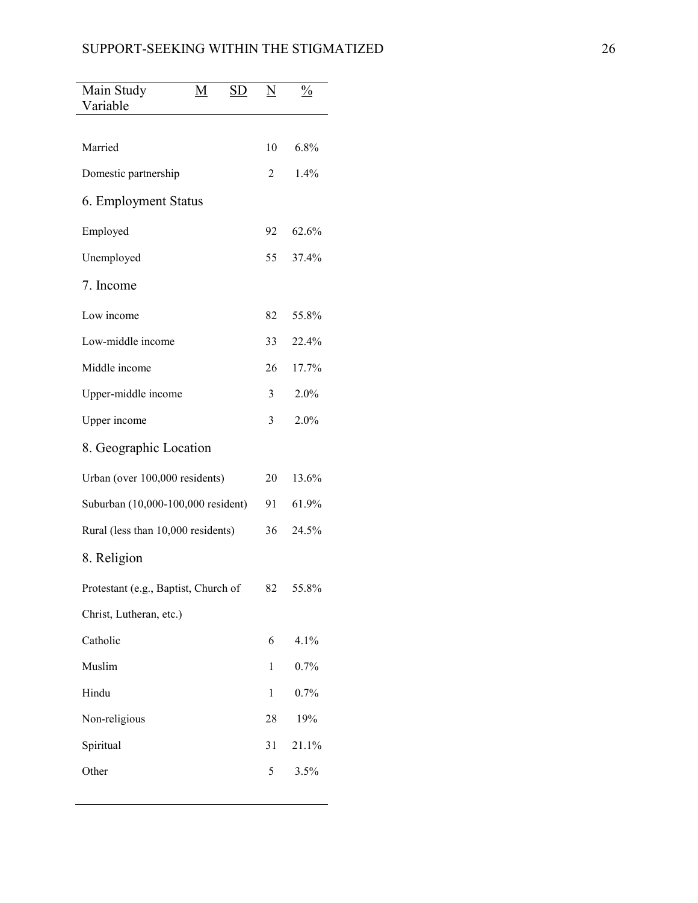| Main Study                           | <u>M</u> | <u>SD</u> | $\underline{\rm N}$ | $\frac{0}{0}$ |
|--------------------------------------|----------|-----------|---------------------|---------------|
| Variable                             |          |           |                     |               |
| Married                              |          |           | 10                  | 6.8%          |
| Domestic partnership                 |          |           | 2                   | 1.4%          |
| 6. Employment Status                 |          |           |                     |               |
| Employed                             |          |           | 92                  | 62.6%         |
| Unemployed                           |          |           | 55                  | 37.4%         |
| 7. Income                            |          |           |                     |               |
| Low income                           |          |           | 82                  | 55.8%         |
| Low-middle income                    |          |           | 33                  | 22.4%         |
| Middle income                        |          |           | 26                  | 17.7%         |
| Upper-middle income                  |          |           | 3                   | 2.0%          |
| Upper income                         |          |           | 3                   | 2.0%          |
| 8. Geographic Location               |          |           |                     |               |
| Urban (over 100,000 residents)       |          |           | 20                  | 13.6%         |
| Suburban (10,000-100,000 resident)   |          |           |                     | 61.9%         |
| Rural (less than 10,000 residents)   |          |           |                     | 24.5%         |
| 8. Religion                          |          |           |                     |               |
| Protestant (e.g., Baptist, Church of |          |           | 82                  | 55.8%         |
| Christ, Lutheran, etc.)              |          |           |                     |               |
| Catholic                             |          |           | 6                   | 4.1%          |
| Muslim                               |          |           | 1                   | 0.7%          |
| Hindu                                |          |           | $\mathbf{1}$        | 0.7%          |
| Non-religious                        |          |           | 28                  | 19%           |
| Spiritual                            |          |           | 31                  | 21.1%         |
| Other                                |          |           | 5                   | 3.5%          |
|                                      |          |           |                     |               |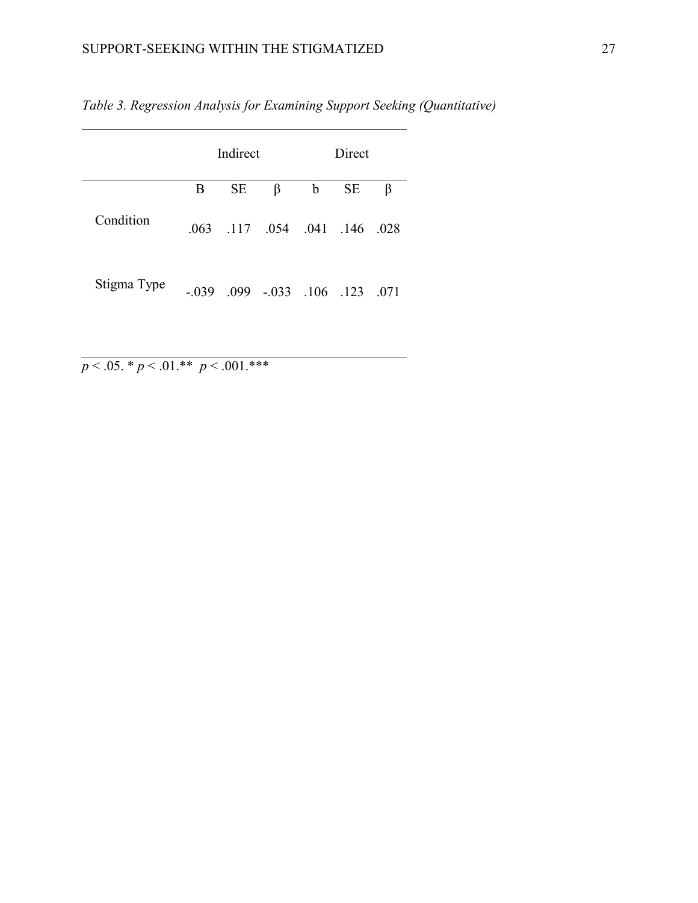|             | Indirect |           |                             | Direct      |           |      |
|-------------|----------|-----------|-----------------------------|-------------|-----------|------|
|             | B        | <b>SE</b> | β                           | $\mathbf b$ | <b>SE</b> | β    |
| Condition   | .063     |           | $.117$ $.054$ $.041$ $.146$ |             |           | .028 |
| Stigma Type | - 039    | -099      | $-.033$                     | .106        | .123      | -071 |

*Table 3. Regression Analysis for Examining Support Seeking (Quantitative)*

 $p < .05.$  \*  $p < .01.*$ \*  $p < .001.*$ \*\*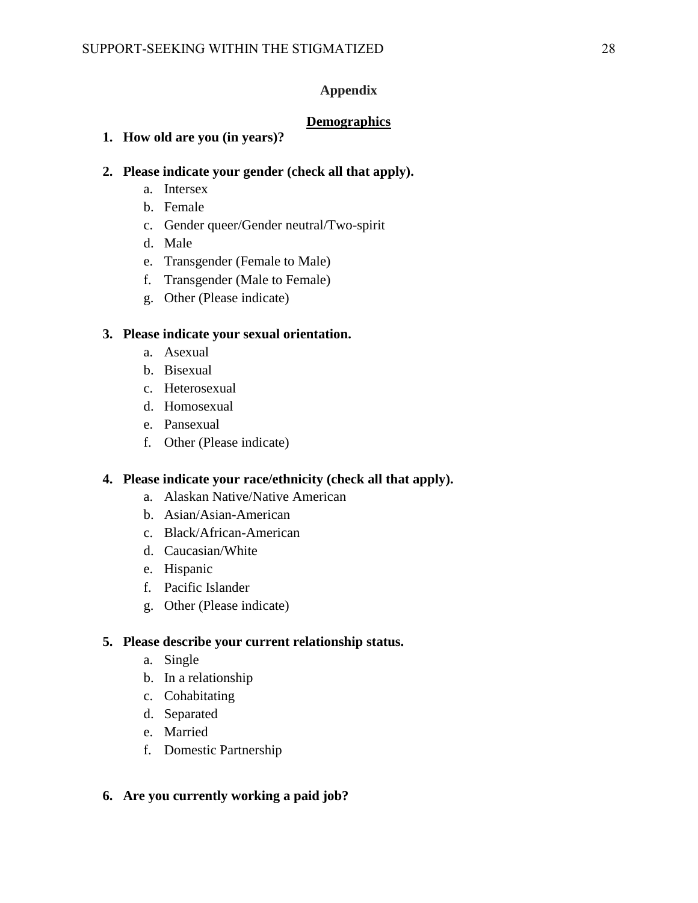## **Appendix**

# **Demographics**

# **1. How old are you (in years)?**

## **2. Please indicate your gender (check all that apply).**

- a. Intersex
- b. Female
- c. Gender queer/Gender neutral/Two-spirit
- d. Male
- e. Transgender (Female to Male)
- f. Transgender (Male to Female)
- g. Other (Please indicate)

# **3. Please indicate your sexual orientation.**

- a. Asexual
- b. Bisexual
- c. Heterosexual
- d. Homosexual
- e. Pansexual
- f. Other (Please indicate)

## **4. Please indicate your race/ethnicity (check all that apply).**

- a. Alaskan Native/Native American
- b. Asian/Asian-American
- c. Black/African-American
- d. Caucasian/White
- e. Hispanic
- f. Pacific Islander
- g. Other (Please indicate)

## **5. Please describe your current relationship status.**

- a. Single
- b. In a relationship
- c. Cohabitating
- d. Separated
- e. Married
- f. Domestic Partnership

## **6. Are you currently working a paid job?**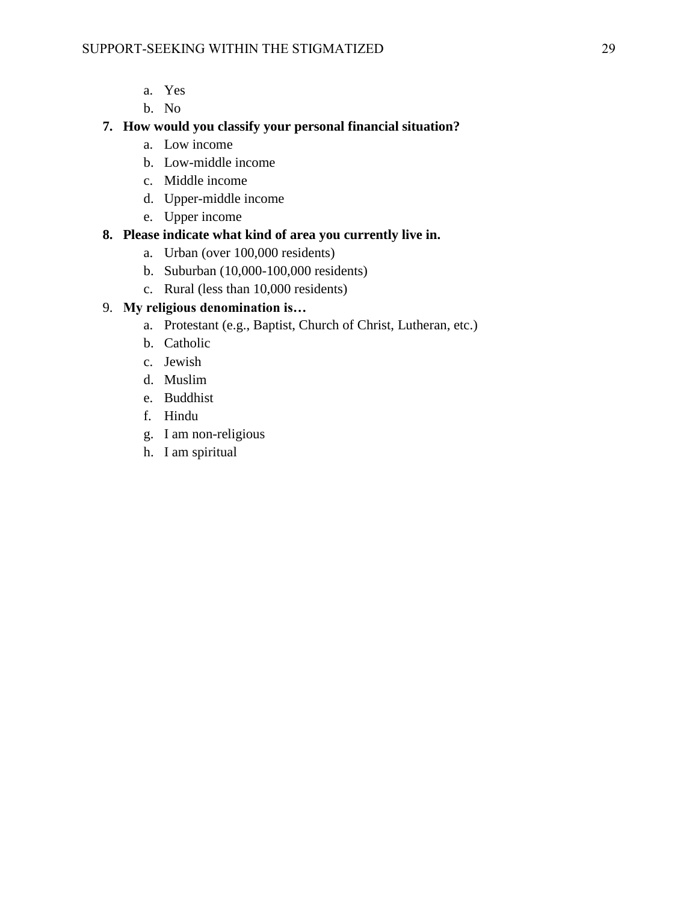- a. Yes
- b. No

# **7. How would you classify your personal financial situation?**

- a. Low income
- b. Low-middle income
- c. Middle income
- d. Upper-middle income
- e. Upper income

# **8. Please indicate what kind of area you currently live in.**

- a. Urban (over 100,000 residents)
- b. Suburban (10,000-100,000 residents)
- c. Rural (less than 10,000 residents)

# 9. **My religious denomination is…**

- a. Protestant (e.g., Baptist, Church of Christ, Lutheran, etc.)
- b. Catholic
- c. Jewish
- d. Muslim
- e. Buddhist
- f. Hindu
- g. I am non-religious
- h. I am spiritual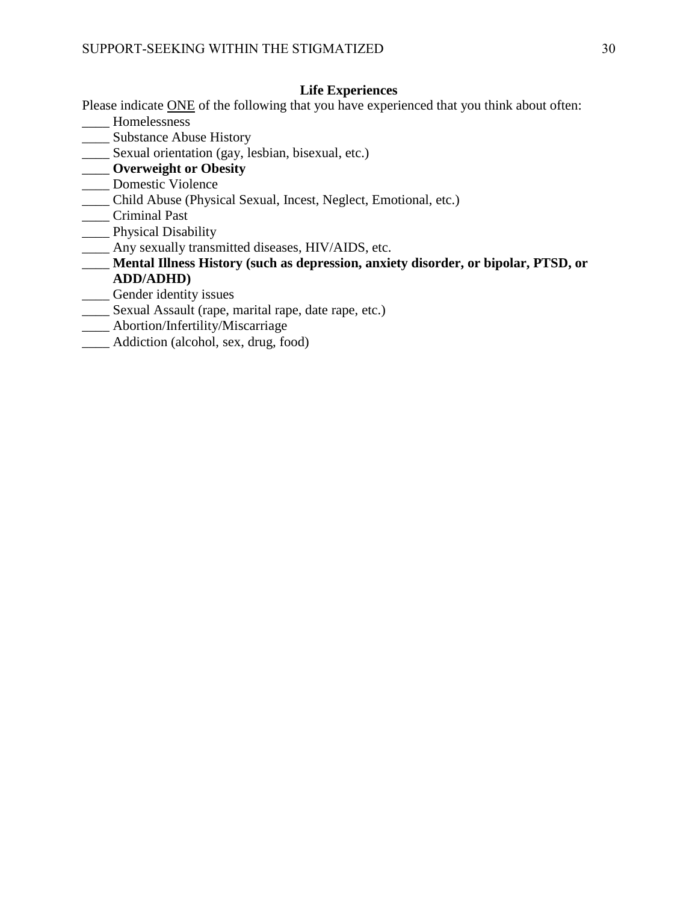## **Life Experiences**

- Please indicate ONE of the following that you have experienced that you think about often:
- \_\_\_\_ Homelessness
- \_\_\_\_ Substance Abuse History
- \_\_\_\_ Sexual orientation (gay, lesbian, bisexual, etc.)
- \_\_\_\_ **Overweight or Obesity**
- \_\_\_\_ Domestic Violence
- \_\_\_\_ Child Abuse (Physical Sexual, Incest, Neglect, Emotional, etc.)
- \_\_\_\_ Criminal Past
- **\_\_\_\_\_** Physical Disability
- \_\_\_\_ Any sexually transmitted diseases, HIV/AIDS, etc.
- \_\_\_\_ **Mental Illness History (such as depression, anxiety disorder, or bipolar, PTSD, or ADD/ADHD)**
- \_\_\_\_ Gender identity issues
- \_\_\_\_ Sexual Assault (rape, marital rape, date rape, etc.)
- \_\_\_\_ Abortion/Infertility/Miscarriage
- \_\_\_\_ Addiction (alcohol, sex, drug, food)